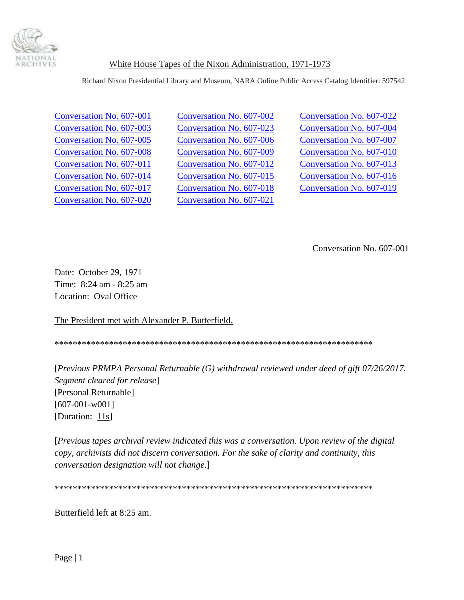

Richard Nixon Presidential Library and Museum, NARA Online Public Access Catalog Identifier: 597542

[Conversation No. 607-020](#page-51-0) [Conversation No. 607-021](#page-53-0)

Conversation No. 607-001 [Conversation No. 607-002 Conversation No. 607-022](#page-1-0) [Conversation No. 607-003](#page-1-0) [Conversation No. 607-023 Conversation No. 607-004](#page-2-0) [Conversation No. 607-005 Conversation No. 607-006](#page-24-0) [Conversation No. 607-007](#page-25-0) [Conversation No. 607-008 Conversation No. 607-009](#page-26-0) [Conversation No. 607-010](#page-27-0) [Conversation No. 607-011](#page-31-0) [Conversation No. 607-012](#page-35-0) [Conversation No. 607-013](#page-36-0) [Conversation No. 607-014](#page-36-0) [Conversation No. 607-015](#page-43-0) [Conversation No. 607-016](#page-44-0) [Conversation No. 607-017](#page-45-0) [Conversation No. 607-018](#page-46-0) [Conversation No. 607-019](#page-51-0)

Conversation No. 607-001

Date: October 29, 1971 Time: 8:24 am - 8:25 am Location: Oval Office

The President met with Alexander P. Butterfield.

\*\*\*\*\*\*\*\*\*\*\*\*\*\*\*\*\*\*\*\*\*\*\*\*\*\*\*\*\*\*\*\*\*\*\*\*\*\*\*\*\*\*\*\*\*\*\*\*\*\*\*\*\*\*\*\*\*\*\*\*\*\*\*\*\*\*\*\*\*\*

[*Previous PRMPA Personal Returnable (G) withdrawal reviewed under deed of gift 07/26/2017. Segment cleared for release*] [Personal Returnable] [607-001-w001] [Duration: 11s]

[*Previous tapes archival review indicated this was a conversation. Upon review of the digital copy, archivists did not discern conversation. For the sake of clarity and continuity, this conversation designation will not change.*]

\*\*\*\*\*\*\*\*\*\*\*\*\*\*\*\*\*\*\*\*\*\*\*\*\*\*\*\*\*\*\*\*\*\*\*\*\*\*\*\*\*\*\*\*\*\*\*\*\*\*\*\*\*\*\*\*\*\*\*\*\*\*\*\*\*\*\*\*\*\*

Butterfield left at 8:25 am.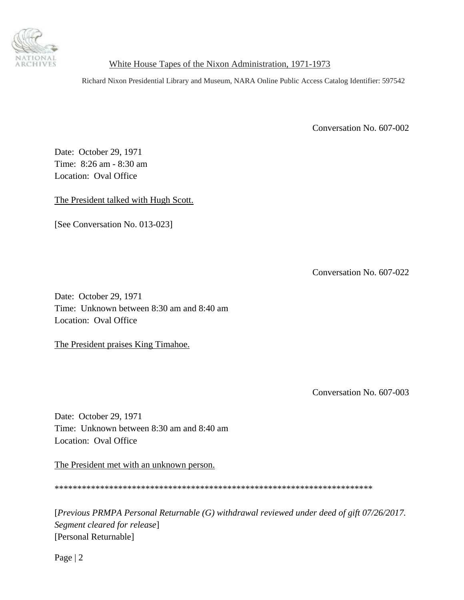<span id="page-1-0"></span>

Richard Nixon Presidential Library and Museum, NARA Online Public Access Catalog Identifier: 597542

Conversation No. 607-002

Date: October 29, 1971 Time: 8:26 am - 8:30 am Location: Oval Office

The President talked with Hugh Scott.

[See Conversation No. 013-023]

Conversation No. 607-022

Date: October 29, 1971 Time: Unknown between 8:30 am and 8:40 am Location: Oval Office

The President praises King Timahoe.

Conversation No. 607-003

Date: October 29, 1971 Time: Unknown between 8:30 am and 8:40 am Location: Oval Office

The President met with an unknown person.

\*\*\*\*\*\*\*\*\*\*\*\*\*\*\*\*\*\*\*\*\*\*\*\*\*\*\*\*\*\*\*\*\*\*\*\*\*\*\*\*\*\*\*\*\*\*\*\*\*\*\*\*\*\*\*\*\*\*\*\*\*\*\*\*\*\*\*\*\*\*

[*Previous PRMPA Personal Returnable (G) withdrawal reviewed under deed of gift 07/26/2017. Segment cleared for release*] [Personal Returnable]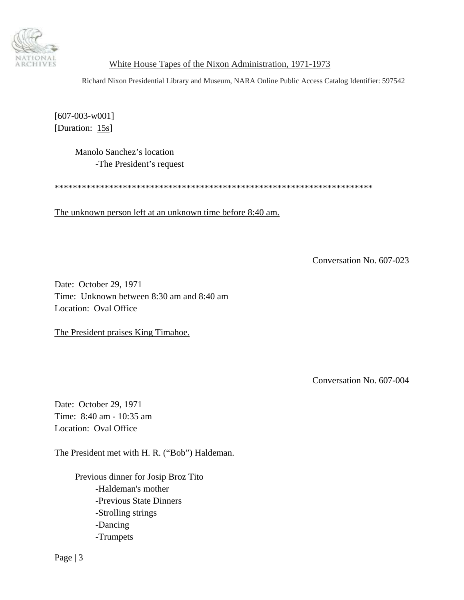<span id="page-2-0"></span>

Richard Nixon Presidential Library and Museum, NARA Online Public Access Catalog Identifier: 597542

[607-003-w001] [Duration: 15s]

> Manolo Sanchez's location -The President's request

\*\*\*\*\*\*\*\*\*\*\*\*\*\*\*\*\*\*\*\*\*\*\*\*\*\*\*\*\*\*\*\*\*\*\*\*\*\*\*\*\*\*\*\*\*\*\*\*\*\*\*\*\*\*\*\*\*\*\*\*\*\*\*\*\*\*\*\*\*\*

The unknown person left at an unknown time before 8:40 am.

Conversation No. 607-023

Date: October 29, 1971 Time: Unknown between 8:30 am and 8:40 am Location: Oval Office

The President praises King Timahoe.

Conversation No. 607-004

Date: October 29, 1971 Time: 8:40 am - 10:35 am Location: Oval Office

The President met with H. R. ("Bob") Haldeman.

 Previous dinner for Josip Broz Tito -Haldeman's mother -Previous State Dinners -Strolling strings -Dancing -Trumpets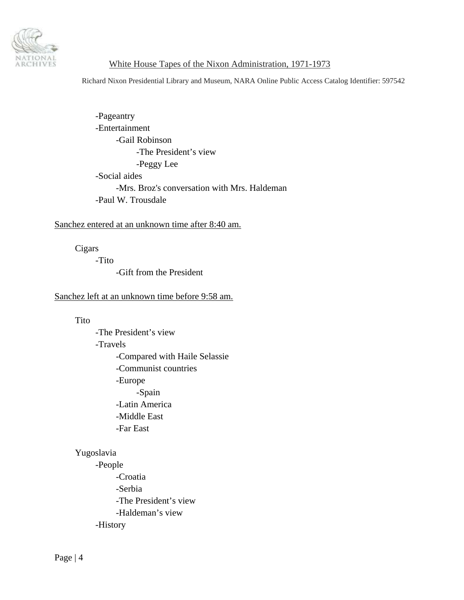

Richard Nixon Presidential Library and Museum, NARA Online Public Access Catalog Identifier: 597542

 -Pageantry -Entertainment -Gail Robinson -The President's view -Peggy Lee -Social aides -Mrs. Broz's conversation with Mrs. Haldeman -Paul W. Trousdale

### Sanchez entered at an unknown time after 8:40 am.

Cigars

-Tito

-Gift from the President

### Sanchez left at an unknown time before 9:58 am.

Tito

 -The President's view -Travels -Compared with Haile Selassie -Communist countries -Europe -Spain -Latin America -Middle East -Far East

### Yugoslavia

 -People -Croatia -Serbia -The President's view -Haldeman's view -History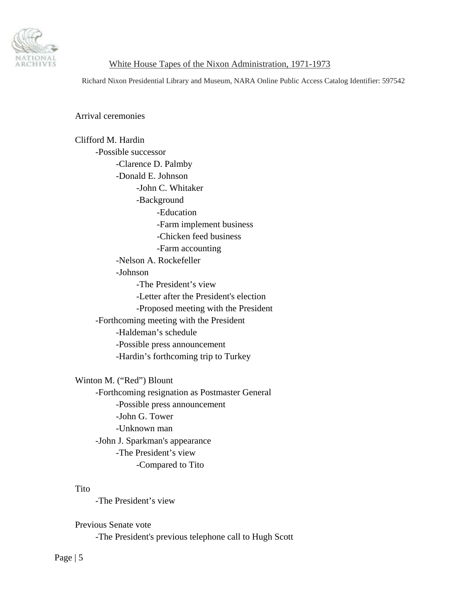

Richard Nixon Presidential Library and Museum, NARA Online Public Access Catalog Identifier: 597542

Arrival ceremonies

 Clifford M. Hardin -Possible successor -Clarence D. Palmby -Donald E. Johnson -John C. Whitaker -Background -Education -Farm implement business -Chicken feed business -Farm accounting -Nelson A. Rockefeller -Johnson -The President's view -Letter after the President's election -Proposed meeting with the President -Forthcoming meeting with the President -Haldeman's schedule -Possible press announcement -Hardin's forthcoming trip to Turkey

 Winton M. ("Red") Blount -Forthcoming resignation as Postmaster General -Possible press announcement -John G. Tower -Unknown man -John J. Sparkman's appearance -The President's view -Compared to Tito

#### Tito

-The President's view

Previous Senate vote

-The President's previous telephone call to Hugh Scott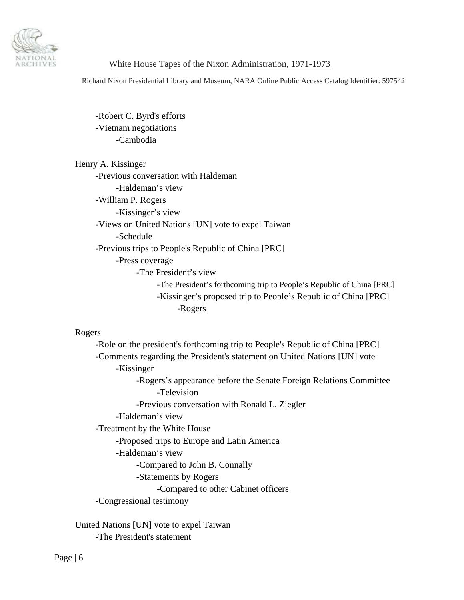

Richard Nixon Presidential Library and Museum, NARA Online Public Access Catalog Identifier: 597542

 -Robert C. Byrd's efforts -Vietnam negotiations -Cambodia

| Henry A. Kissinger |                                                                       |
|--------------------|-----------------------------------------------------------------------|
|                    | -Previous conversation with Haldeman                                  |
|                    | -Haldeman's view                                                      |
|                    | -William P. Rogers                                                    |
|                    | -Kissinger's view                                                     |
|                    | -Views on United Nations [UN] vote to expel Taiwan                    |
|                    | -Schedule                                                             |
|                    | -Previous trips to People's Republic of China [PRC]                   |
|                    | -Press coverage                                                       |
|                    | -The President's view                                                 |
|                    | -The President's forthcoming trip to People's Republic of China [PRC] |
|                    | -Kissinger's proposed trip to People's Republic of China [PRC]        |
|                    | -Rogers                                                               |

### Rogers

 -Role on the president's forthcoming trip to People's Republic of China [PRC] -Comments regarding the President's statement on United Nations [UN] vote -Kissinger -Rogers's appearance before the Senate Foreign Relations Committee -Television -Previous conversation with Ronald L. Ziegler -Haldeman's view -Treatment by the White House -Proposed trips to Europe and Latin America -Haldeman's view -Compared to John B. Connally -Statements by Rogers -Compared to other Cabinet officers -Congressional testimony United Nations [UN] vote to expel Taiwan

-The President's statement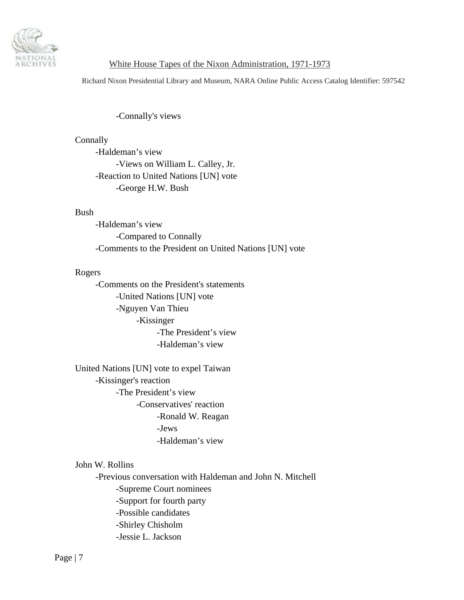

Richard Nixon Presidential Library and Museum, NARA Online Public Access Catalog Identifier: 597542

-Connally's views

**Connally**  -Haldeman's view -Views on William L. Calley, Jr. -Reaction to United Nations [UN] vote -George H.W. Bush

#### Bush

 -Haldeman's view -Compared to Connally -Comments to the President on United Nations [UN] vote

#### Rogers

 -Comments on the President's statements -United Nations [UN] vote -Nguyen Van Thieu -Kissinger -The President's view -Haldeman's view

 United Nations [UN] vote to expel Taiwan -Kissinger's reaction -The President's view -Conservatives' reaction -Ronald W. Reagan -Jews -Haldeman's view

# John W. Rollins

 -Previous conversation with Haldeman and John N. Mitchell -Supreme Court nominees -Support for fourth party -Possible candidates -Shirley Chisholm -Jessie L. Jackson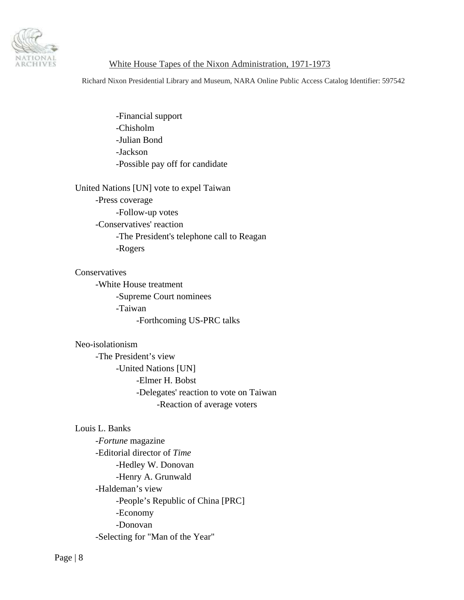

Richard Nixon Presidential Library and Museum, NARA Online Public Access Catalog Identifier: 597542

 -Financial support -Chisholm -Julian Bond -Jackson -Possible pay off for candidate

United Nations [UN] vote to expel Taiwan

 -Press coverage -Follow-up votes -Conservatives' reaction -The President's telephone call to Reagan -Rogers

**Conservatives**  -White House treatment -Supreme Court nominees -Taiwan -Forthcoming US-PRC talks

#### Neo-isolationism

 -The President's view -United Nations [UN] -Elmer H. Bobst -Delegates' reaction to vote on Taiwan -Reaction of average voters

#### Louis L. Banks

 -*Fortune* magazine -Editorial director of *Time* -Hedley W. Donovan -Henry A. Grunwald -Haldeman's view -People's Republic of China [PRC] -Economy -Donovan -Selecting for "Man of the Year"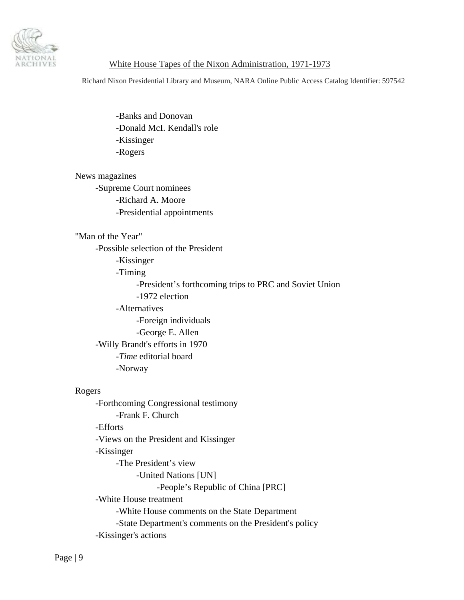

Richard Nixon Presidential Library and Museum, NARA Online Public Access Catalog Identifier: 597542

 -Banks and Donovan -Donald McI. Kendall's role -Kissinger -Rogers

 News magazines -Supreme Court nominees -Richard A. Moore -Presidential appointments

#### "Man of the Year"

 -Possible selection of the President -Kissinger -Timing -President's forthcoming trips to PRC and Soviet Union -1972 election -Alternatives -Foreign individuals -George E. Allen -Willy Brandt's efforts in 1970 -*Time* editorial board -Norway

### Rogers

 -Forthcoming Congressional testimony -Frank F. Church -Efforts -Views on the President and Kissinger -Kissinger -The President's view -United Nations [UN] -People's Republic of China [PRC] -White House treatment -White House comments on the State Department -State Department's comments on the President's policy -Kissinger's actions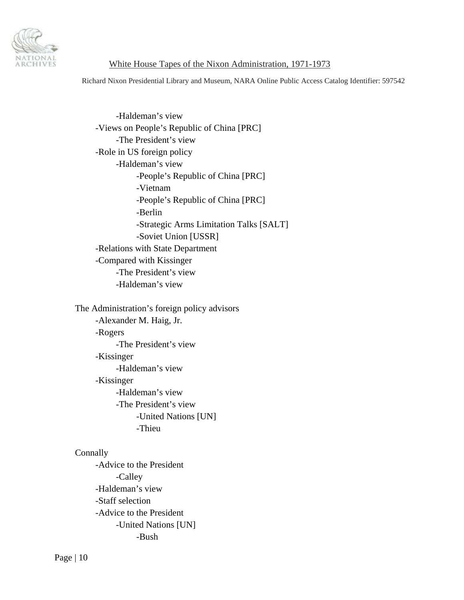

Richard Nixon Presidential Library and Museum, NARA Online Public Access Catalog Identifier: 597542

 -Haldeman's view -Views on People's Republic of China [PRC] -The President's view -Role in US foreign policy -Haldeman's view -People's Republic of China [PRC] -Vietnam -People's Republic of China [PRC] -Berlin -Strategic Arms Limitation Talks [SALT] -Soviet Union [USSR] -Relations with State Department -Compared with Kissinger -The President's view -Haldeman's view

 The Administration's foreign policy advisors -Alexander M. Haig, Jr. -Rogers -The President's view -Kissinger -Haldeman's view -Kissinger -Haldeman's view -The President's view -United Nations [UN] -Thieu

#### **Connally**

 -Advice to the President -Calley -Haldeman's view -Staff selection -Advice to the President -United Nations [UN] -Bush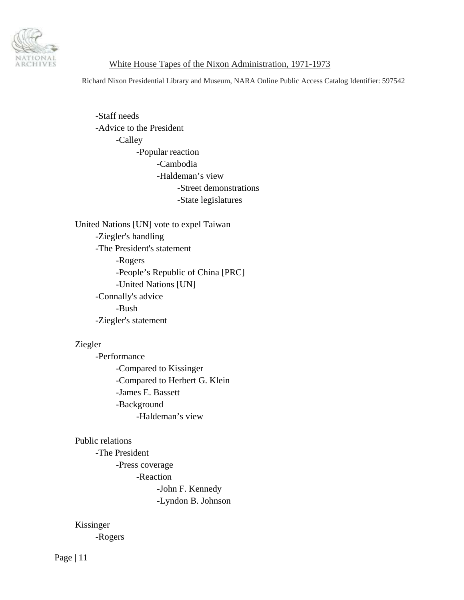

Richard Nixon Presidential Library and Museum, NARA Online Public Access Catalog Identifier: 597542

 -Staff needs -Advice to the President -Calley -Popular reaction -Cambodia -Haldeman's view -Street demonstrations -State legislatures

 United Nations [UN] vote to expel Taiwan -Ziegler's handling -The President's statement -Rogers -People's Republic of China [PRC] -United Nations [UN] -Connally's advice -Bush -Ziegler's statement

#### Ziegler

 -Performance -Compared to Kissinger -Compared to Herbert G. Klein -James E. Bassett -Background -Haldeman's view

#### Public relations

 -The President -Press coverage -Reaction -John F. Kennedy -Lyndon B. Johnson

Kissinger

-Rogers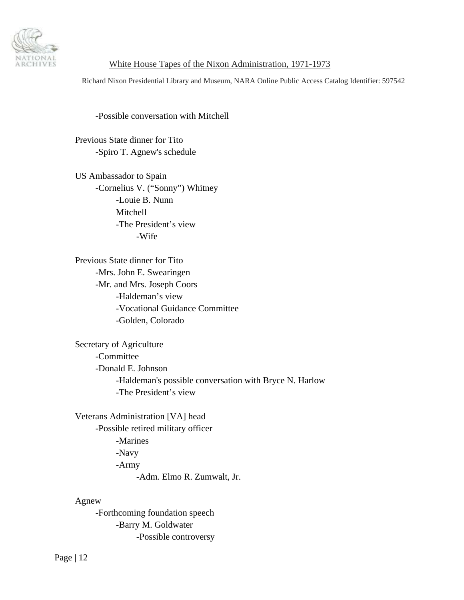

Richard Nixon Presidential Library and Museum, NARA Online Public Access Catalog Identifier: 597542

-Possible conversation with Mitchell

 Previous State dinner for Tito -Spiro T. Agnew's schedule

 US Ambassador to Spain -Cornelius V. ("Sonny") Whitney -Louie B. Nunn Mitchell -The President's view -Wife

 Previous State dinner for Tito -Mrs. John E. Swearingen -Mr. and Mrs. Joseph Coors -Haldeman's view -Vocational Guidance Committee -Golden, Colorado

 Secretary of Agriculture -Committee -Donald E. Johnson -Haldeman's possible conversation with Bryce N. Harlow -The President's view

 Veterans Administration [VA] head -Possible retired military officer -Marines -Navy -Army -Adm. Elmo R. Zumwalt, Jr.

Agnew

 -Forthcoming foundation speech -Barry M. Goldwater -Possible controversy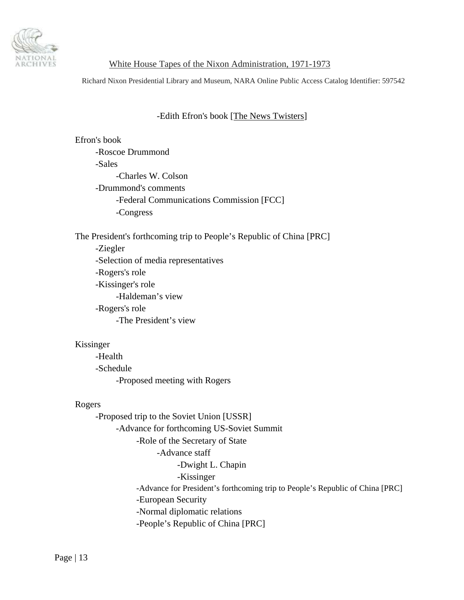

Richard Nixon Presidential Library and Museum, NARA Online Public Access Catalog Identifier: 597542

## -Edith Efron's book [The News Twisters]

 Efron's book -Roscoe Drummond -Sales -Charles W. Colson -Drummond's comments -Federal Communications Commission [FCC] -Congress

The President's forthcoming trip to People's Republic of China [PRC]

 -Ziegler -Selection of media representatives -Rogers's role -Kissinger's role -Haldeman's view -Rogers's role -The President's view

#### Kissinger

 -Health -Schedule -Proposed meeting with Rogers

### Rogers

 -Proposed trip to the Soviet Union [USSR] -Advance for forthcoming US-Soviet Summit -Role of the Secretary of State -Advance staff -Dwight L. Chapin -Kissinger -Advance for President's forthcoming trip to People's Republic of China [PRC] -European Security -Normal diplomatic relations -People's Republic of China [PRC]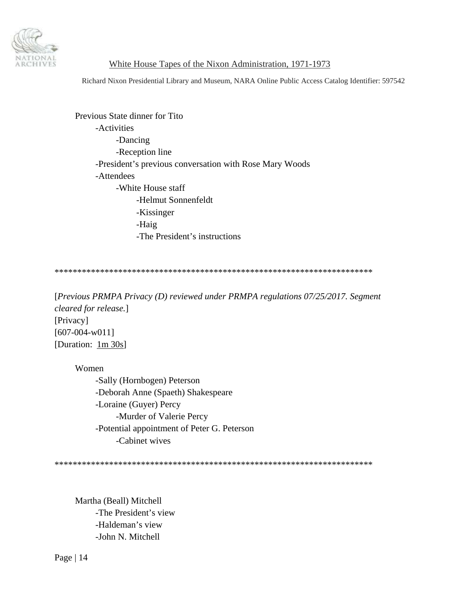

Richard Nixon Presidential Library and Museum, NARA Online Public Access Catalog Identifier: 597542

 Previous State dinner for Tito -Activities -Dancing -Reception line -President's previous conversation with Rose Mary Woods -Attendees -White House staff -Helmut Sonnenfeldt -Kissinger -Haig -The President's instructions

\*\*\*\*\*\*\*\*\*\*\*\*\*\*\*\*\*\*\*\*\*\*\*\*\*\*\*\*\*\*\*\*\*\*\*\*\*\*\*\*\*\*\*\*\*\*\*\*\*\*\*\*\*\*\*\*\*\*\*\*\*\*\*\*\*\*\*\*\*\*

[*Previous PRMPA Privacy (D) reviewed under PRMPA regulations 07/25/2017. Segment cleared for release.*] [Privacy] [607-004-w011] [Duration:  $1m \space 30s$ ]

 Women -Sally (Hornbogen) Peterson -Deborah Anne (Spaeth) Shakespeare -Loraine (Guyer) Percy -Murder of Valerie Percy -Potential appointment of Peter G. Peterson -Cabinet wives

\*\*\*\*\*\*\*\*\*\*\*\*\*\*\*\*\*\*\*\*\*\*\*\*\*\*\*\*\*\*\*\*\*\*\*\*\*\*\*\*\*\*\*\*\*\*\*\*\*\*\*\*\*\*\*\*\*\*\*\*\*\*\*\*\*\*\*\*\*\*

 Martha (Beall) Mitchell -The President's view -Haldeman's view -John N. Mitchell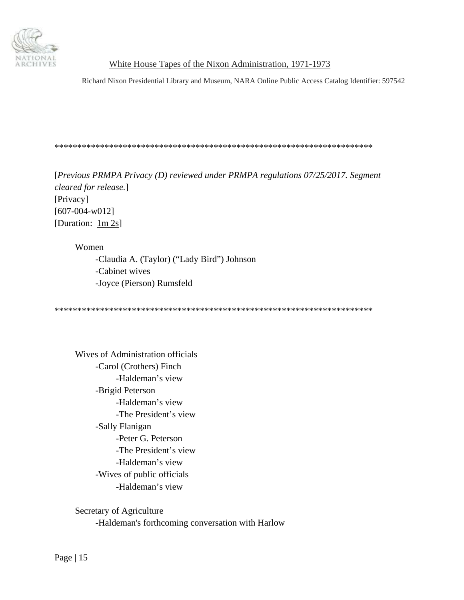

Richard Nixon Presidential Library and Museum, NARA Online Public Access Catalog Identifier: 597542

#### \*\*\*\*\*\*\*\*\*\*\*\*\*\*\*\*\*\*\*\*\*\*\*\*\*\*\*\*\*\*\*\*\*\*\*\*\*\*\*\*\*\*\*\*\*\*\*\*\*\*\*\*\*\*\*\*\*\*\*\*\*\*\*\*\*\*\*\*\*\*

[*Previous PRMPA Privacy (D) reviewed under PRMPA regulations 07/25/2017. Segment cleared for release.*] [Privacy] [607-004-w012] [Duration: 1m 2s]

 Women -Claudia A. (Taylor) ("Lady Bird") Johnson -Cabinet wives -Joyce (Pierson) Rumsfeld

\*\*\*\*\*\*\*\*\*\*\*\*\*\*\*\*\*\*\*\*\*\*\*\*\*\*\*\*\*\*\*\*\*\*\*\*\*\*\*\*\*\*\*\*\*\*\*\*\*\*\*\*\*\*\*\*\*\*\*\*\*\*\*\*\*\*\*\*\*\*

 Wives of Administration officials -Carol (Crothers) Finch -Haldeman's view -Brigid Peterson -Haldeman's view -The President's view -Sally Flanigan -Peter G. Peterson -The President's view -Haldeman's view -Wives of public officials -Haldeman's view

 Secretary of Agriculture -Haldeman's forthcoming conversation with Harlow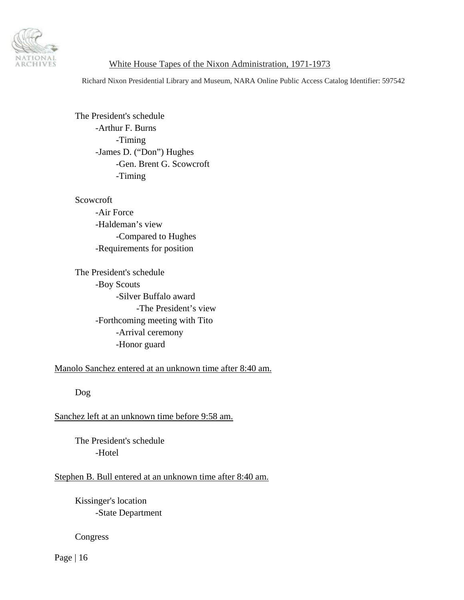

Richard Nixon Presidential Library and Museum, NARA Online Public Access Catalog Identifier: 597542

 The President's schedule -Arthur F. Burns -Timing -James D. ("Don") Hughes -Gen. Brent G. Scowcroft -Timing

 Scowcroft -Air Force -Haldeman's view -Compared to Hughes -Requirements for position

 The President's schedule -Boy Scouts -Silver Buffalo award -The President's view -Forthcoming meeting with Tito -Arrival ceremony -Honor guard

Manolo Sanchez entered at an unknown time after 8:40 am.

Dog

# Sanchez left at an unknown time before 9:58 am.

 The President's schedule -Hotel

# Stephen B. Bull entered at an unknown time after 8:40 am.

 Kissinger's location -State Department

Congress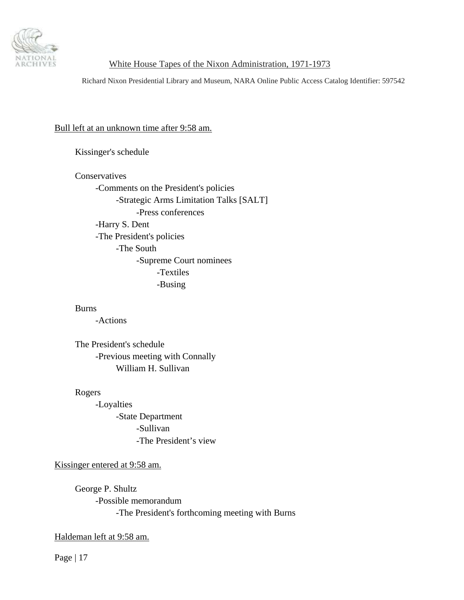

Richard Nixon Presidential Library and Museum, NARA Online Public Access Catalog Identifier: 597542

#### Bull left at an unknown time after 9:58 am.

Kissinger's schedule

Conservatives

 -Comments on the President's policies -Strategic Arms Limitation Talks [SALT] -Press conferences -Harry S. Dent -The President's policies -The South -Supreme Court nominees -Textiles -Busing

### Burns

-Actions

 The President's schedule -Previous meeting with Connally William H. Sullivan

#### Rogers

 -Loyalties -State Department -Sullivan -The President's view

Kissinger entered at 9:58 am.

 George P. Shultz -Possible memorandum -The President's forthcoming meeting with Burns

### Haldeman left at 9:58 am.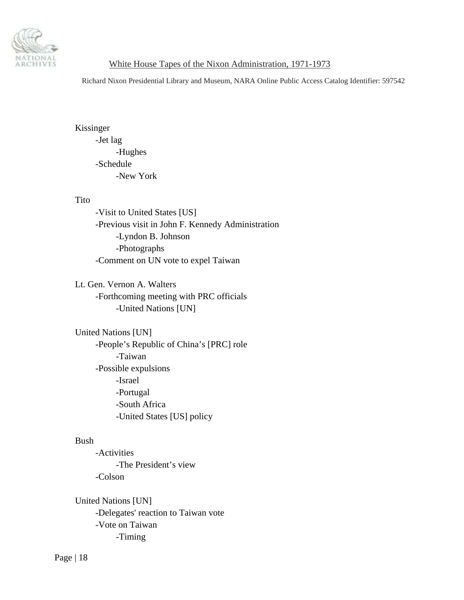

Richard Nixon Presidential Library and Museum, NARA Online Public Access Catalog Identifier: 597542

 Kissinger -Jet lag -Hughes -Schedule -New York

#### Tito

 -Visit to United States [US] -Previous visit in John F. Kennedy Administration -Lyndon B. Johnson -Photographs -Comment on UN vote to expel Taiwan

 Lt. Gen. Vernon A. Walters -Forthcoming meeting with PRC officials -United Nations [UN]

 United Nations [UN] -People's Republic of China's [PRC] role -Taiwan -Possible expulsions -Israel -Portugal -South Africa -United States [US] policy

#### Bush

 -Activities -The President's view -Colson

 United Nations [UN] -Delegates' reaction to Taiwan vote -Vote on Taiwan -Timing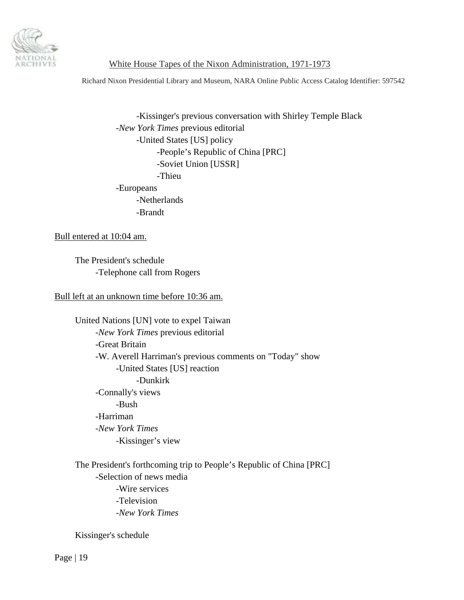

Richard Nixon Presidential Library and Museum, NARA Online Public Access Catalog Identifier: 597542

 -Kissinger's previous conversation with Shirley Temple Black -*New York Times* previous editorial -United States [US] policy -People's Republic of China [PRC] -Soviet Union [USSR] -Thieu -Europeans -Netherlands -Brandt

Bull entered at 10:04 am.

 The President's schedule -Telephone call from Rogers

Bull left at an unknown time before 10:36 am.

 United Nations [UN] vote to expel Taiwan -*New York Times* previous editorial -Great Britain -W. Averell Harriman's previous comments on "Today" show -United States [US] reaction -Dunkirk -Connally's views -Bush -Harriman -*New York Times* -Kissinger's view

 The President's forthcoming trip to People's Republic of China [PRC] -Selection of news media -Wire services -Television -*New York Times*

Kissinger's schedule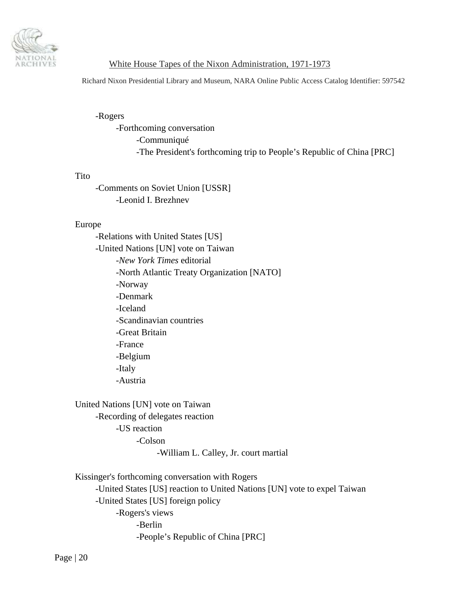

Richard Nixon Presidential Library and Museum, NARA Online Public Access Catalog Identifier: 597542

-Rogers

 -Forthcoming conversation -Communiqué -The President's forthcoming trip to People's Republic of China [PRC]

#### Tito

 -Comments on Soviet Union [USSR] -Leonid I. Brezhnev

#### Europe

 -Relations with United States [US] -United Nations [UN] vote on Taiwan -*New York Times* editorial -North Atlantic Treaty Organization [NATO] -Norway -Denmark -Iceland -Scandinavian countries -Great Britain -France -Belgium -Italy -Austria

 United Nations [UN] vote on Taiwan -Recording of delegates reaction -US reaction -Colson -William L. Calley, Jr. court martial

 Kissinger's forthcoming conversation with Rogers -United States [US] reaction to United Nations [UN] vote to expel Taiwan -United States [US] foreign policy -Rogers's views -Berlin -People's Republic of China [PRC]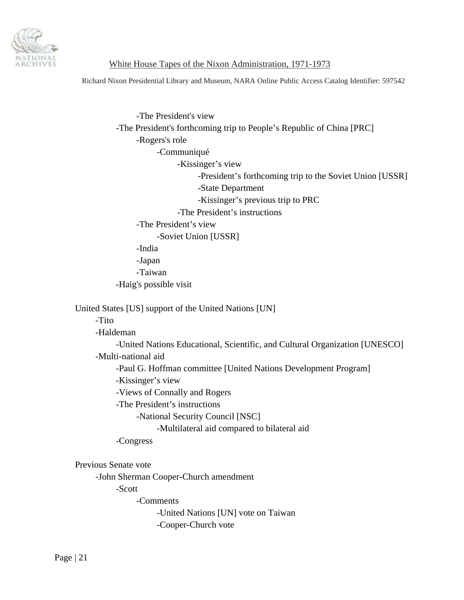

Richard Nixon Presidential Library and Museum, NARA Online Public Access Catalog Identifier: 597542

 -The President's view -The President's forthcoming trip to People's Republic of China [PRC] -Rogers's role -Communiqué -Kissinger's view -President's forthcoming trip to the Soviet Union [USSR] -State Department -Kissinger's previous trip to PRC -The President's instructions -The President's view -Soviet Union [USSR] -India -Japan -Taiwan -Haig's possible visit United States [US] support of the United Nations [UN] -Tito -Haldeman -United Nations Educational, Scientific, and Cultural Organization [UNESCO] -Multi-national aid -Paul G. Hoffman committee [United Nations Development Program] -Kissinger's view -Views of Connally and Rogers -The President's instructions

-National Security Council [NSC]

-Multilateral aid compared to bilateral aid

-Congress

Previous Senate vote

-John Sherman Cooper-Church amendment

-Scott

-Comments

 -United Nations [UN] vote on Taiwan -Cooper-Church vote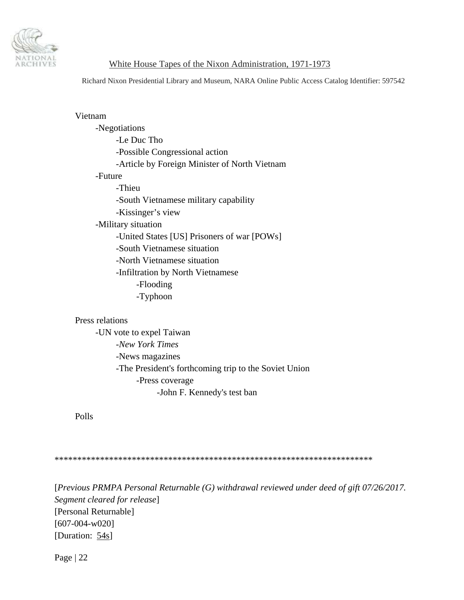

Richard Nixon Presidential Library and Museum, NARA Online Public Access Catalog Identifier: 597542

| Vietnam                                       |  |
|-----------------------------------------------|--|
| -Negotiations                                 |  |
| -Le Duc Tho                                   |  |
| -Possible Congressional action                |  |
| -Article by Foreign Minister of North Vietnam |  |
| -Future                                       |  |
| -Thieu                                        |  |
| -South Vietnamese military capability         |  |
| -Kissinger's view                             |  |
| -Military situation                           |  |
| -United States [US] Prisoners of war [POWs]   |  |
| -South Vietnamese situation                   |  |
| -North Vietnamese situation                   |  |
| -Infiltration by North Vietnamese             |  |
| -Flooding                                     |  |
| -Typhoon                                      |  |
|                                               |  |
| Press relations                               |  |

## Pres

 -UN vote to expel Taiwan -*New York Times* -News magazines -The President's forthcoming trip to the Soviet Union -Press coverage -John F. Kennedy's test ban

Polls

\*\*\*\*\*\*\*\*\*\*\*\*\*\*\*\*\*\*\*\*\*\*\*\*\*\*\*\*\*\*\*\*\*\*\*\*\*\*\*\*\*\*\*\*\*\*\*\*\*\*\*\*\*\*\*\*\*\*\*\*\*\*\*\*\*\*\*\*\*\*

[*Previous PRMPA Personal Returnable (G) withdrawal reviewed under deed of gift 07/26/2017. Segment cleared for release*] [Personal Returnable] [607-004-w020] [Duration: 54s]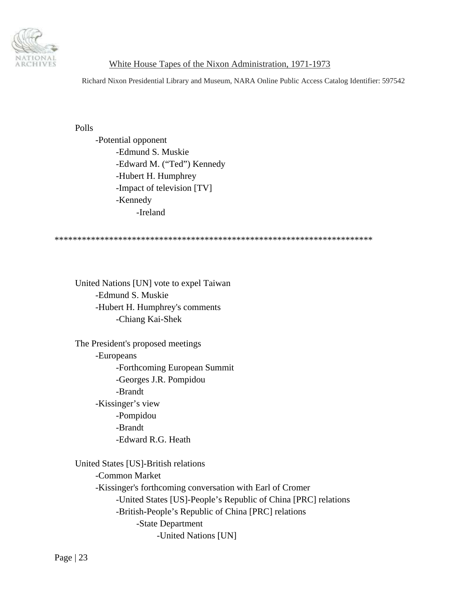

Richard Nixon Presidential Library and Museum, NARA Online Public Access Catalog Identifier: 597542

Polls

 -Potential opponent -Edmund S. Muskie -Edward M. ("Ted") Kennedy -Hubert H. Humphrey -Impact of television [TV] -Kennedy -Ireland

\*\*\*\*\*\*\*\*\*\*\*\*\*\*\*\*\*\*\*\*\*\*\*\*\*\*\*\*\*\*\*\*\*\*\*\*\*\*\*\*\*\*\*\*\*\*\*\*\*\*\*\*\*\*\*\*\*\*\*\*\*\*\*\*\*\*\*\*\*\*

 United Nations [UN] vote to expel Taiwan -Edmund S. Muskie -Hubert H. Humphrey's comments -Chiang Kai-Shek

 The President's proposed meetings -Europeans -Forthcoming European Summit -Georges J.R. Pompidou -Brandt -Kissinger's view -Pompidou -Brandt -Edward R.G. Heath

 United States [US]-British relations -Common Market -Kissinger's forthcoming conversation with Earl of Cromer -United States [US]-People's Republic of China [PRC] relations -British-People's Republic of China [PRC] relations -State Department -United Nations [UN]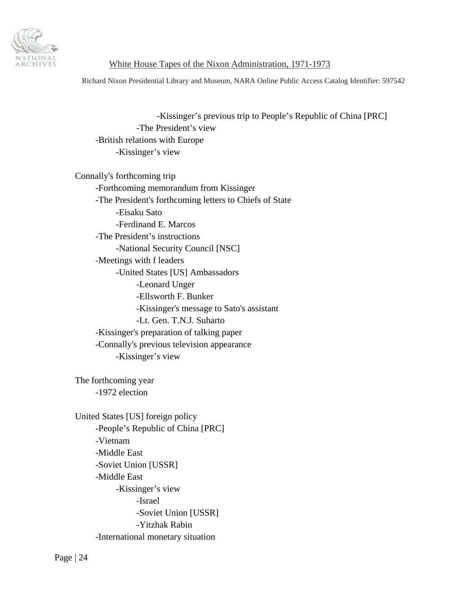

Richard Nixon Presidential Library and Museum, NARA Online Public Access Catalog Identifier: 597542

 -Kissinger's previous trip to People's Republic of China [PRC] -The President's view -British relations with Europe -Kissinger's view

 Connally's forthcoming trip -Forthcoming memorandum from Kissinger -The President's forthcoming letters to Chiefs of State -Eisaku Sato -Ferdinand E. Marcos -The President's instructions -National Security Council [NSC] -Meetings with f leaders -United States [US] Ambassadors -Leonard Unger -Ellsworth F. Bunker -Kissinger's message to Sato's assistant -Lt. Gen. T.N.J. Suharto -Kissinger's preparation of talking paper -Connally's previous television appearance -Kissinger's view

 The forthcoming year -1972 election

 United States [US] foreign policy -People's Republic of China [PRC] -Vietnam -Middle East -Soviet Union [USSR] -Middle East -Kissinger's view -Israel -Soviet Union [USSR] -Yitzhak Rabin -International monetary situation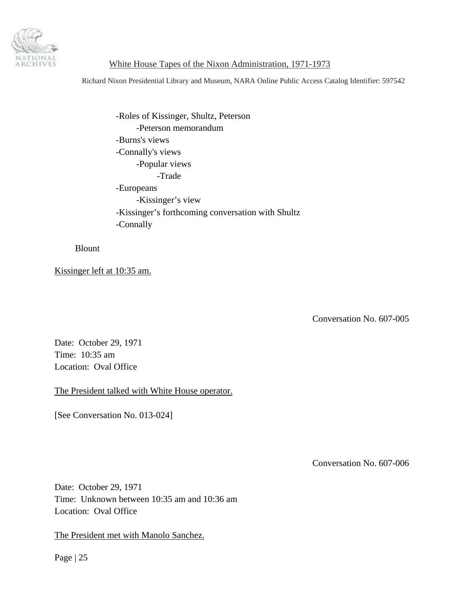<span id="page-24-0"></span>

Richard Nixon Presidential Library and Museum, NARA Online Public Access Catalog Identifier: 597542

 -Roles of Kissinger, Shultz, Peterson -Peterson memorandum -Burns's views -Connally's views -Popular views -Trade -Europeans -Kissinger's view -Kissinger's forthcoming conversation with Shultz -Connally

Blount

Kissinger left at 10:35 am.

Conversation No. 607-005

Date: October 29, 1971 Time: 10:35 am Location: Oval Office

The President talked with White House operator.

[See Conversation No. 013-024]

Conversation No. 607-006

Date: October 29, 1971 Time: Unknown between 10:35 am and 10:36 am Location: Oval Office

The President met with Manolo Sanchez.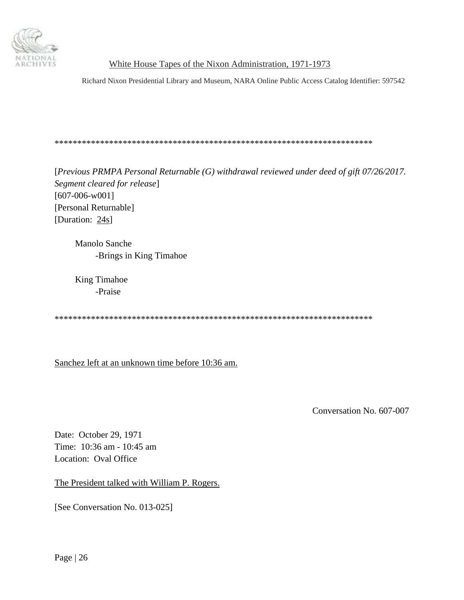<span id="page-25-0"></span>

Richard Nixon Presidential Library and Museum, NARA Online Public Access Catalog Identifier: 597542

\*\*\*\*\*\*\*\*\*\*\*\*\*\*\*\*\*\*\*\*\*\*\*\*\*\*\*\*\*\*\*\*\*\*\*\*\*\*\*\*\*\*\*\*\*\*\*\*\*\*\*\*\*\*\*\*\*\*\*\*\*\*\*\*\*\*\*\*\*\*

[*Previous PRMPA Personal Returnable (G) withdrawal reviewed under deed of gift 07/26/2017. Segment cleared for release*] [607-006-w001] [Personal Returnable] [Duration: 24s]

 Manolo Sanche -Brings in King Timahoe

 King Timahoe -Praise

\*\*\*\*\*\*\*\*\*\*\*\*\*\*\*\*\*\*\*\*\*\*\*\*\*\*\*\*\*\*\*\*\*\*\*\*\*\*\*\*\*\*\*\*\*\*\*\*\*\*\*\*\*\*\*\*\*\*\*\*\*\*\*\*\*\*\*\*\*\*

Sanchez left at an unknown time before 10:36 am.

Conversation No. 607-007

Date: October 29, 1971 Time: 10:36 am - 10:45 am Location: Oval Office

The President talked with William P. Rogers.

[See Conversation No. 013-025]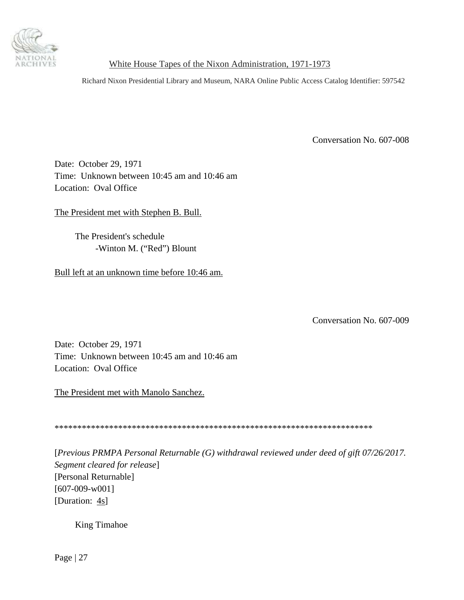<span id="page-26-0"></span>

Richard Nixon Presidential Library and Museum, NARA Online Public Access Catalog Identifier: 597542

Conversation No. 607-008

Date: October 29, 1971 Time: Unknown between 10:45 am and 10:46 am Location: Oval Office

The President met with Stephen B. Bull.

 The President's schedule -Winton M. ("Red") Blount

Bull left at an unknown time before 10:46 am.

Conversation No. 607-009

Date: October 29, 1971 Time: Unknown between 10:45 am and 10:46 am Location: Oval Office

The President met with Manolo Sanchez.

\*\*\*\*\*\*\*\*\*\*\*\*\*\*\*\*\*\*\*\*\*\*\*\*\*\*\*\*\*\*\*\*\*\*\*\*\*\*\*\*\*\*\*\*\*\*\*\*\*\*\*\*\*\*\*\*\*\*\*\*\*\*\*\*\*\*\*\*\*\*

[*Previous PRMPA Personal Returnable (G) withdrawal reviewed under deed of gift 07/26/2017. Segment cleared for release*] [Personal Returnable] [607-009-w001] [Duration:  $\frac{4s}{ }$ ]

King Timahoe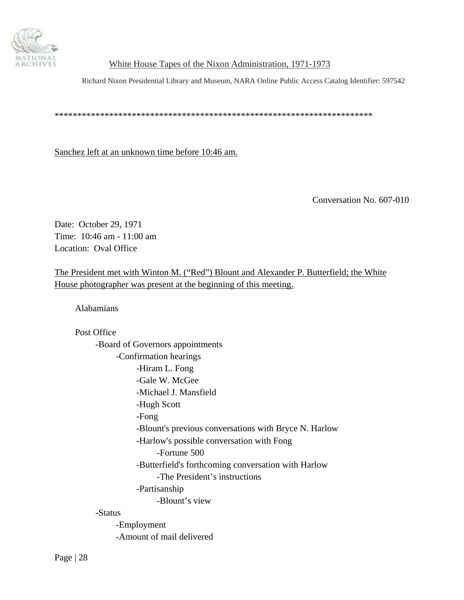<span id="page-27-0"></span>

Richard Nixon Presidential Library and Museum, NARA Online Public Access Catalog Identifier: 597542

\*\*\*\*\*\*\*\*\*\*\*\*\*\*\*\*\*\*\*\*\*\*\*\*\*\*\*\*\*\*\*\*\*\*\*\*\*\*\*\*\*\*\*\*\*\*\*\*\*\*\*\*\*\*\*\*\*\*\*\*\*\*\*\*\*\*\*\*\*\*

Sanchez left at an unknown time before 10:46 am.

Conversation No. 607-010

Date: October 29, 1971 Time: 10:46 am - 11:00 am Location: Oval Office

The President met with Winton M. ("Red") Blount and Alexander P. Butterfield; the White House photographer was present at the beginning of this meeting.

Alabamians

Post Office

 -Board of Governors appointments -Confirmation hearings -Hiram L. Fong -Gale W. McGee -Michael J. Mansfield -Hugh Scott -Fong -Blount's previous conversations with Bryce N. Harlow -Harlow's possible conversation with Fong -Fortune 500 -Butterfield's forthcoming conversation with Harlow -The President's instructions -Partisanship -Blount's view

-Status

 -Employment -Amount of mail delivered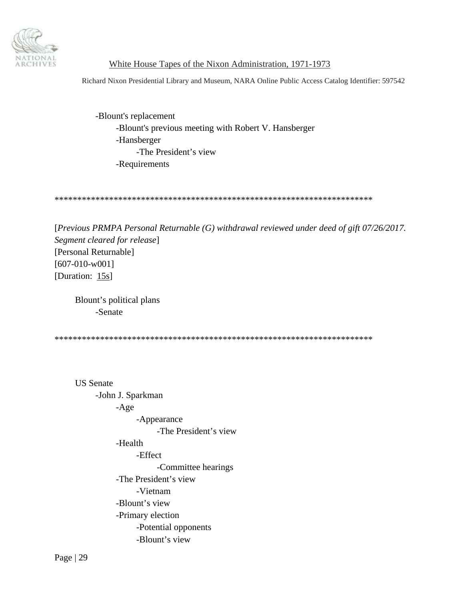

Richard Nixon Presidential Library and Museum, NARA Online Public Access Catalog Identifier: 597542

 -Blount's replacement -Blount's previous meeting with Robert V. Hansberger -Hansberger -The President's view -Requirements

\*\*\*\*\*\*\*\*\*\*\*\*\*\*\*\*\*\*\*\*\*\*\*\*\*\*\*\*\*\*\*\*\*\*\*\*\*\*\*\*\*\*\*\*\*\*\*\*\*\*\*\*\*\*\*\*\*\*\*\*\*\*\*\*\*\*\*\*\*\*

[*Previous PRMPA Personal Returnable (G) withdrawal reviewed under deed of gift 07/26/2017. Segment cleared for release*] [Personal Returnable] [607-010-w001] [Duration: 15s]

 Blount's political plans -Senate

\*\*\*\*\*\*\*\*\*\*\*\*\*\*\*\*\*\*\*\*\*\*\*\*\*\*\*\*\*\*\*\*\*\*\*\*\*\*\*\*\*\*\*\*\*\*\*\*\*\*\*\*\*\*\*\*\*\*\*\*\*\*\*\*\*\*\*\*\*\*

 US Senate -John J. Sparkman -Age -Appearance -The President's view -Health -Effect -Committee hearings -The President's view -Vietnam -Blount's view -Primary election -Potential opponents -Blount's view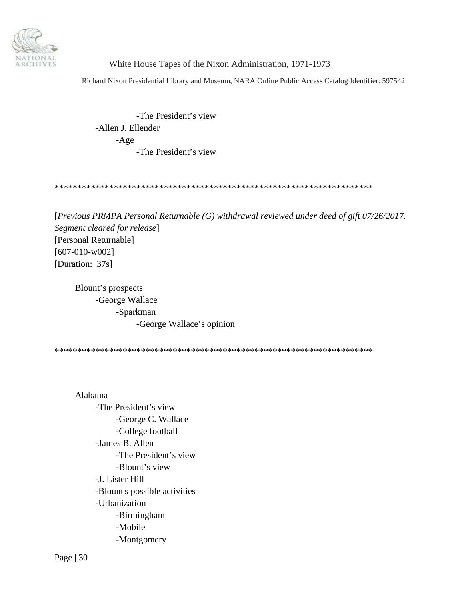

Richard Nixon Presidential Library and Museum, NARA Online Public Access Catalog Identifier: 597542

 -The President's view -Allen J. Ellender -Age -The President's view

\*\*\*\*\*\*\*\*\*\*\*\*\*\*\*\*\*\*\*\*\*\*\*\*\*\*\*\*\*\*\*\*\*\*\*\*\*\*\*\*\*\*\*\*\*\*\*\*\*\*\*\*\*\*\*\*\*\*\*\*\*\*\*\*\*\*\*\*\*\*

[*Previous PRMPA Personal Returnable (G) withdrawal reviewed under deed of gift 07/26/2017. Segment cleared for release*] [Personal Returnable] [607-010-w002] [Duration: 37s]

 Blount's prospects -George Wallace -Sparkman -George Wallace's opinion

\*\*\*\*\*\*\*\*\*\*\*\*\*\*\*\*\*\*\*\*\*\*\*\*\*\*\*\*\*\*\*\*\*\*\*\*\*\*\*\*\*\*\*\*\*\*\*\*\*\*\*\*\*\*\*\*\*\*\*\*\*\*\*\*\*\*\*\*\*\*

 Alabama -The President's view -George C. Wallace -College football -James B. Allen -The President's view -Blount's view -J. Lister Hill -Blount's possible activities -Urbanization -Birmingham -Mobile -Montgomery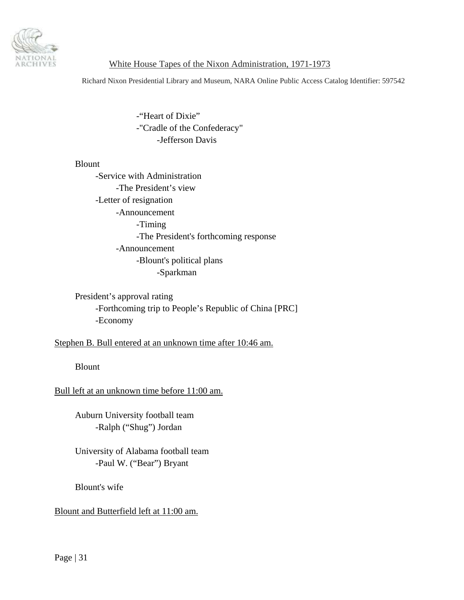

Richard Nixon Presidential Library and Museum, NARA Online Public Access Catalog Identifier: 597542

 -"Heart of Dixie" -"Cradle of the Confederacy" -Jefferson Davis

#### Blount

 -Service with Administration -The President's view -Letter of resignation -Announcement -Timing -The President's forthcoming response -Announcement -Blount's political plans -Sparkman

 President's approval rating -Forthcoming trip to People's Republic of China [PRC] -Economy

Stephen B. Bull entered at an unknown time after 10:46 am.

Blount

Bull left at an unknown time before 11:00 am.

 Auburn University football team -Ralph ("Shug") Jordan

 University of Alabama football team -Paul W. ("Bear") Bryant

Blount's wife

Blount and Butterfield left at 11:00 am.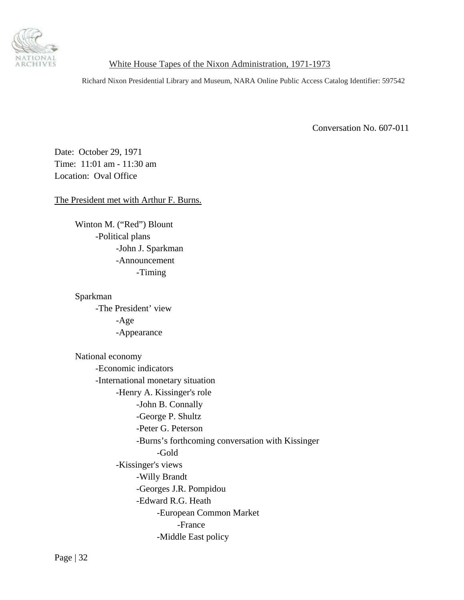<span id="page-31-0"></span>

Richard Nixon Presidential Library and Museum, NARA Online Public Access Catalog Identifier: 597542

Conversation No. 607-011

Date: October 29, 1971 Time: 11:01 am - 11:30 am Location: Oval Office

The President met with Arthur F. Burns.

 Winton M. ("Red") Blount -Political plans -John J. Sparkman -Announcement -Timing

 Sparkman -The President' view -Age -Appearance

 National economy -Economic indicators -International monetary situation -Henry A. Kissinger's role -John B. Connally -George P. Shultz -Peter G. Peterson -Burns's forthcoming conversation with Kissinger -Gold -Kissinger's views -Willy Brandt -Georges J.R. Pompidou -Edward R.G. Heath -European Common Market -France -Middle East policy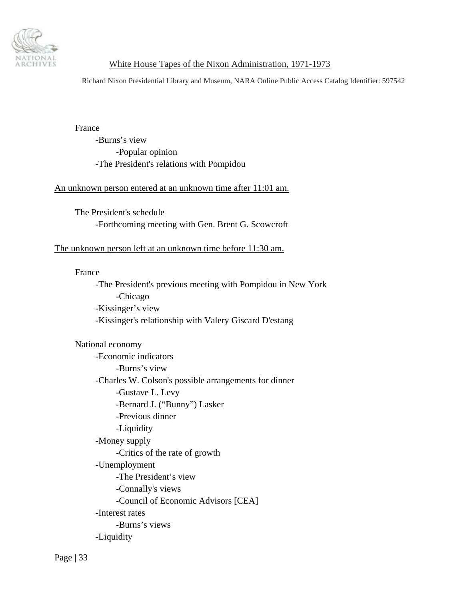

Richard Nixon Presidential Library and Museum, NARA Online Public Access Catalog Identifier: 597542

France

 -Burns's view -Popular opinion -The President's relations with Pompidou

### An unknown person entered at an unknown time after 11:01 am.

 The President's schedule -Forthcoming meeting with Gen. Brent G. Scowcroft

#### The unknown person left at an unknown time before 11:30 am.

#### France

 -The President's previous meeting with Pompidou in New York -Chicago -Kissinger's view -Kissinger's relationship with Valery Giscard D'estang

 National economy -Economic indicators -Burns's view -Charles W. Colson's possible arrangements for dinner -Gustave L. Levy -Bernard J. ("Bunny") Lasker -Previous dinner -Liquidity -Money supply -Critics of the rate of growth -Unemployment -The President's view -Connally's views -Council of Economic Advisors [CEA] -Interest rates -Burns's views -Liquidity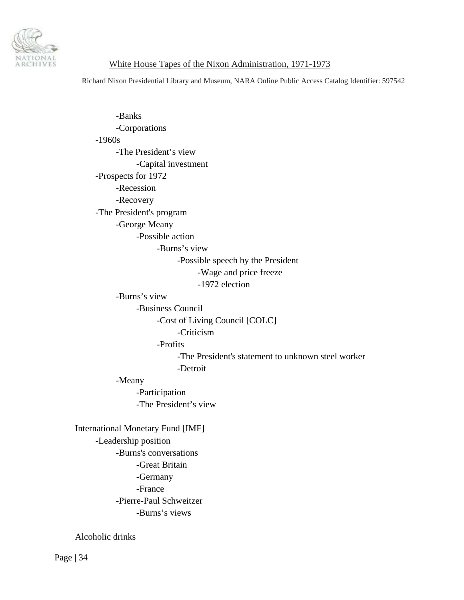

Richard Nixon Presidential Library and Museum, NARA Online Public Access Catalog Identifier: 597542

 -Banks -Corporations -1960s -The President's view -Capital investment -Prospects for 1972 -Recession -Recovery -The President's program -George Meany -Possible action -Burns's view -Possible speech by the President -Wage and price freeze -1972 election -Burns's view -Business Council -Cost of Living Council [COLC] -Criticism -Profits -The President's statement to unknown steel worker -Detroit -Meany -Participation -The President's view International Monetary Fund [IMF] -Leadership position -Burns's conversations -Great Britain -Germany -France -Pierre-Paul Schweitzer -Burns's views

Alcoholic drinks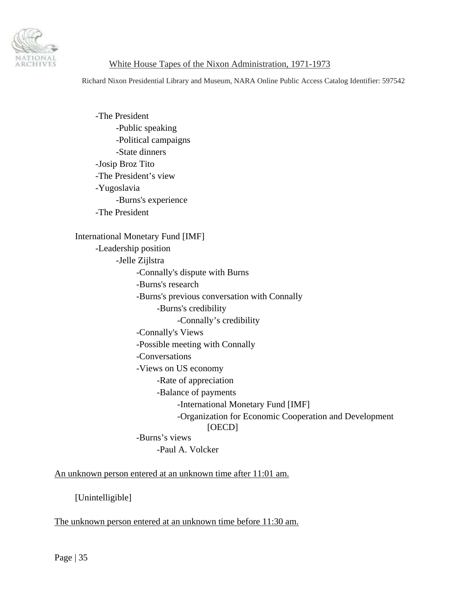

Richard Nixon Presidential Library and Museum, NARA Online Public Access Catalog Identifier: 597542

 -The President -Public speaking -Political campaigns -State dinners -Josip Broz Tito -The President's view -Yugoslavia -Burns's experience -The President International Monetary Fund [IMF] -Leadership position -Jelle Zijlstra -Connally's dispute with Burns -Burns's research -Burns's previous conversation with Connally -Burns's credibility -Connally's credibility -Connally's Views -Possible meeting with Connally -Conversations -Views on US economy -Rate of appreciation -Balance of payments -International Monetary Fund [IMF] -Organization for Economic Cooperation and Development [OECD] -Burns's views -Paul A. Volcker

An unknown person entered at an unknown time after 11:01 am.

[Unintelligible]

The unknown person entered at an unknown time before 11:30 am.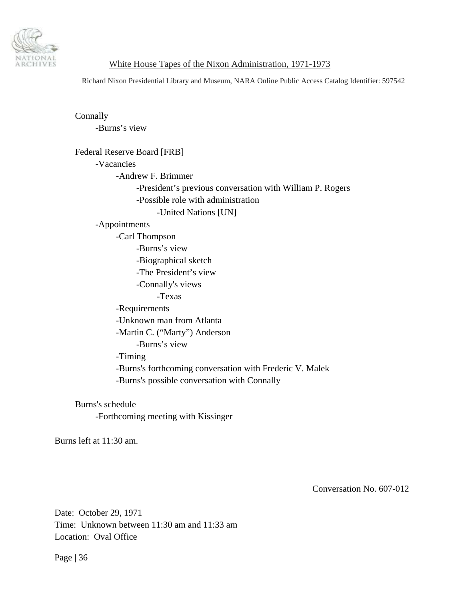<span id="page-35-0"></span>

Richard Nixon Presidential Library and Museum, NARA Online Public Access Catalog Identifier: 597542

 Connally -Burns's view Federal Reserve Board [FRB] -Vacancies -Andrew F. Brimmer -President's previous conversation with William P. Rogers -Possible role with administration -United Nations [UN] -Appointments -Carl Thompson -Burns's view -Biographical sketch -The President's view -Connally's views -Texas -Requirements -Unknown man from Atlanta -Martin C. ("Marty") Anderson -Burns's view -Timing -Burns's forthcoming conversation with Frederic V. Malek -Burns's possible conversation with Connally

 Burns's schedule -Forthcoming meeting with Kissinger

Burns left at 11:30 am.

Conversation No. 607-012

Date: October 29, 1971 Time: Unknown between 11:30 am and 11:33 am Location: Oval Office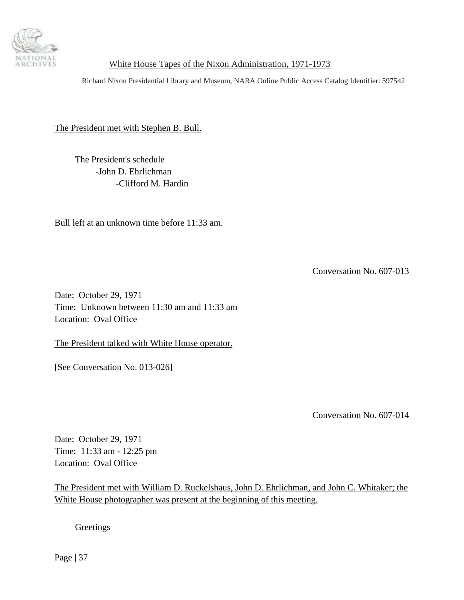<span id="page-36-0"></span>

Richard Nixon Presidential Library and Museum, NARA Online Public Access Catalog Identifier: 597542

The President met with Stephen B. Bull.

 The President's schedule -John D. Ehrlichman -Clifford M. Hardin

Bull left at an unknown time before 11:33 am.

Conversation No. 607-013

Date: October 29, 1971 Time: Unknown between 11:30 am and 11:33 am Location: Oval Office

The President talked with White House operator.

[See Conversation No. 013-026]

Conversation No. 607-014

Date: October 29, 1971 Time: 11:33 am - 12:25 pm Location: Oval Office

The President met with William D. Ruckelshaus, John D. Ehrlichman, and John C. Whitaker; the White House photographer was present at the beginning of this meeting.

**Greetings**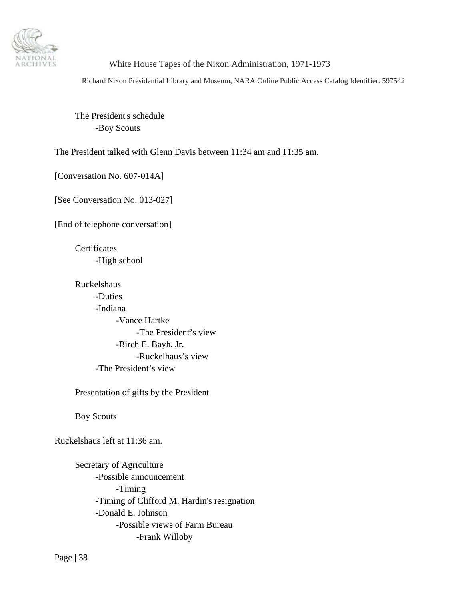

Richard Nixon Presidential Library and Museum, NARA Online Public Access Catalog Identifier: 597542

 The President's schedule -Boy Scouts

### The President talked with Glenn Davis between 11:34 am and 11:35 am.

[Conversation No. 607-014A]

[See Conversation No. 013-027]

[End of telephone conversation]

**Certificates** -High school

 Ruckelshaus -Duties -Indiana -Vance Hartke -The President's view -Birch E. Bayh, Jr. -Ruckelhaus's view -The President's view

Presentation of gifts by the President

Boy Scouts

Ruckelshaus left at 11:36 am.

 Secretary of Agriculture -Possible announcement -Timing -Timing of Clifford M. Hardin's resignation -Donald E. Johnson -Possible views of Farm Bureau -Frank Willoby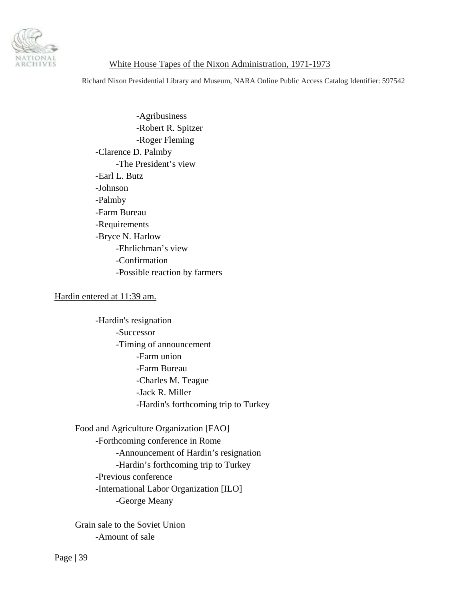

Richard Nixon Presidential Library and Museum, NARA Online Public Access Catalog Identifier: 597542

 -Agribusiness -Robert R. Spitzer -Roger Fleming -Clarence D. Palmby -The President's view -Earl L. Butz -Johnson -Palmby -Farm Bureau -Requirements -Bryce N. Harlow -Ehrlichman's view -Confirmation -Possible reaction by farmers

#### Hardin entered at 11:39 am.

 -Hardin's resignation -Successor -Timing of announcement -Farm union -Farm Bureau -Charles M. Teague -Jack R. Miller -Hardin's forthcoming trip to Turkey

 Food and Agriculture Organization [FAO] -Forthcoming conference in Rome -Announcement of Hardin's resignation -Hardin's forthcoming trip to Turkey -Previous conference -International Labor Organization [ILO] -George Meany

 Grain sale to the Soviet Union -Amount of sale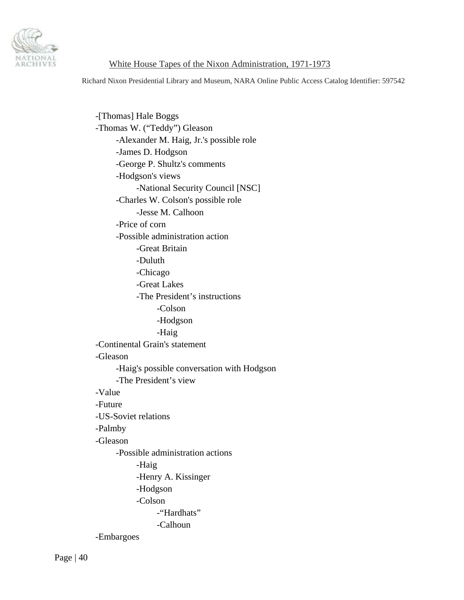

Richard Nixon Presidential Library and Museum, NARA Online Public Access Catalog Identifier: 597542

 -[Thomas] Hale Boggs -Thomas W. ("Teddy") Gleason -Alexander M. Haig, Jr.'s possible role -James D. Hodgson -George P. Shultz's comments -Hodgson's views -National Security Council [NSC] -Charles W. Colson's possible role -Jesse M. Calhoon -Price of corn -Possible administration action -Great Britain -Duluth -Chicago -Great Lakes -The President's instructions -Colson -Hodgson -Haig -Continental Grain's statement -Gleason -Haig's possible conversation with Hodgson -The President's view -Value -Future -US-Soviet relations -Palmby -Gleason -Possible administration actions -Haig -Henry A. Kissinger -Hodgson -Colson -"Hardhats" -Calhoun -Embargoes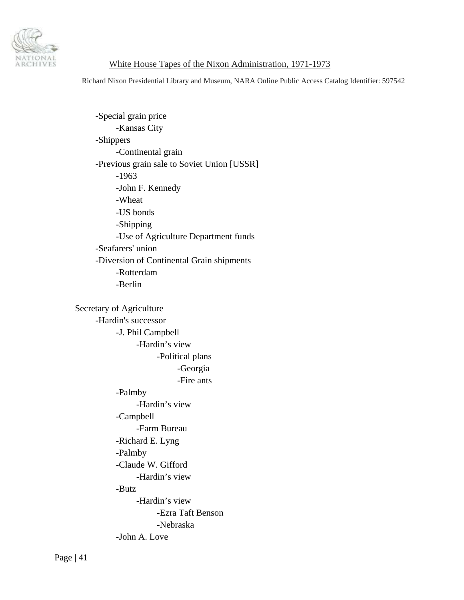

Richard Nixon Presidential Library and Museum, NARA Online Public Access Catalog Identifier: 597542

 -Special grain price -Kansas City -Shippers -Continental grain -Previous grain sale to Soviet Union [USSR] -1963 -John F. Kennedy -Wheat -US bonds -Shipping -Use of Agriculture Department funds -Seafarers' union -Diversion of Continental Grain shipments -Rotterdam -Berlin

 Secretary of Agriculture -Hardin's successor -J. Phil Campbell -Hardin's view -Political plans -Georgia -Fire ants -Palmby -Hardin's view -Campbell -Farm Bureau -Richard E. Lyng -Palmby -Claude W. Gifford -Hardin's view -Butz -Hardin's view -Ezra Taft Benson -Nebraska -John A. Love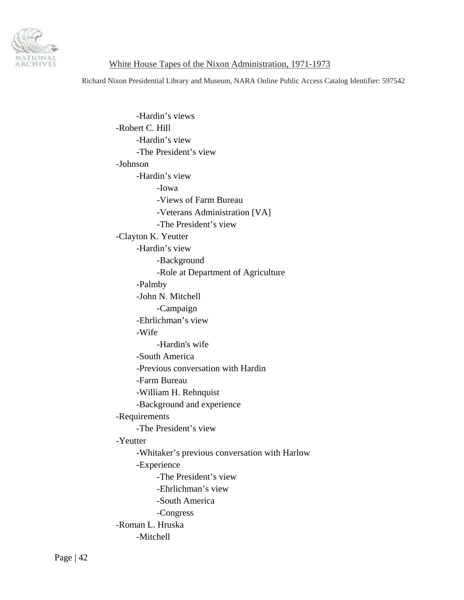

Richard Nixon Presidential Library and Museum, NARA Online Public Access Catalog Identifier: 597542

 -Hardin's views -Robert C. Hill -Hardin's view -The President's view -Johnson -Hardin's view -Iowa -Views of Farm Bureau -Veterans Administration [VA] -The President's view -Clayton K. Yeutter -Hardin's view -Background -Role at Department of Agriculture -Palmby -John N. Mitchell -Campaign -Ehrlichman's view -Wife -Hardin's wife -South America -Previous conversation with Hardin -Farm Bureau -William H. Rehnquist -Background and experience -Requirements -The President's view -Yeutter -Whitaker's previous conversation with Harlow -Experience -The President's view -Ehrlichman's view -South America -Congress -Roman L. Hruska -Mitchell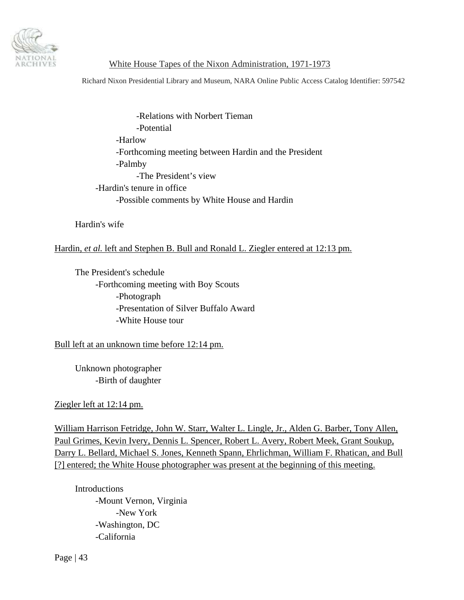

Richard Nixon Presidential Library and Museum, NARA Online Public Access Catalog Identifier: 597542

 -Relations with Norbert Tieman -Potential -Harlow -Forthcoming meeting between Hardin and the President -Palmby -The President's view -Hardin's tenure in office -Possible comments by White House and Hardin

Hardin's wife

## Hardin, *et al.* left and Stephen B. Bull and Ronald L. Ziegler entered at 12:13 pm.

 The President's schedule -Forthcoming meeting with Boy Scouts -Photograph -Presentation of Silver Buffalo Award -White House tour

Bull left at an unknown time before 12:14 pm.

 Unknown photographer -Birth of daughter

Ziegler left at 12:14 pm.

William Harrison Fetridge, John W. Starr, Walter L. Lingle, Jr., Alden G. Barber, Tony Allen, Paul Grimes, Kevin Ivery, Dennis L. Spencer, Robert L. Avery, Robert Meek, Grant Soukup, Darry L. Bellard, Michael S. Jones, Kenneth Spann, Ehrlichman, William F. Rhatican, and Bull [?] entered; the White House photographer was present at the beginning of this meeting.

 Introductions -Mount Vernon, Virginia -New York -Washington, DC -California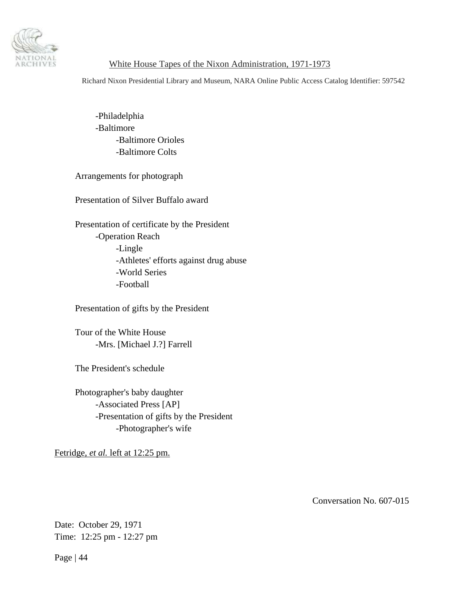<span id="page-43-0"></span>

Richard Nixon Presidential Library and Museum, NARA Online Public Access Catalog Identifier: 597542

 -Philadelphia -Baltimore -Baltimore Orioles -Baltimore Colts

Arrangements for photograph

Presentation of Silver Buffalo award

 Presentation of certificate by the President -Operation Reach -Lingle -Athletes' efforts against drug abuse -World Series -Football

Presentation of gifts by the President

 Tour of the White House -Mrs. [Michael J.?] Farrell

The President's schedule

 Photographer's baby daughter -Associated Press [AP] -Presentation of gifts by the President -Photographer's wife

Fetridge, *et al.* left at 12:25 pm.

Conversation No. 607-015

Date: October 29, 1971 Time: 12:25 pm - 12:27 pm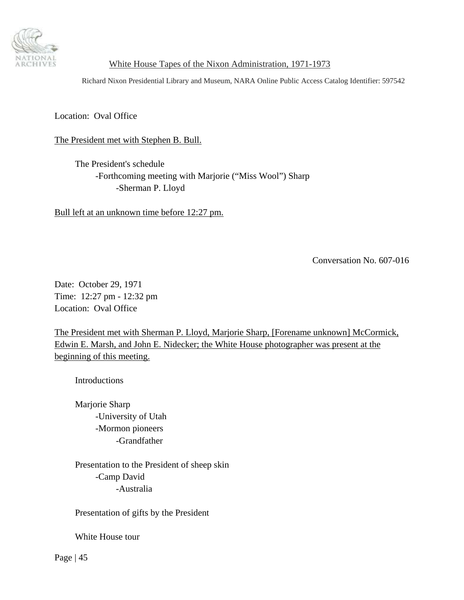<span id="page-44-0"></span>

Richard Nixon Presidential Library and Museum, NARA Online Public Access Catalog Identifier: 597542

Location: Oval Office

The President met with Stephen B. Bull.

 The President's schedule -Forthcoming meeting with Marjorie ("Miss Wool") Sharp -Sherman P. Lloyd

Bull left at an unknown time before 12:27 pm.

Conversation No. 607-016

Date: October 29, 1971 Time: 12:27 pm - 12:32 pm Location: Oval Office

The President met with Sherman P. Lloyd, Marjorie Sharp, [Forename unknown] McCormick, Edwin E. Marsh, and John E. Nidecker; the White House photographer was present at the beginning of this meeting.

**Introductions** 

 Marjorie Sharp -University of Utah -Mormon pioneers -Grandfather

 Presentation to the President of sheep skin -Camp David -Australia

Presentation of gifts by the President

White House tour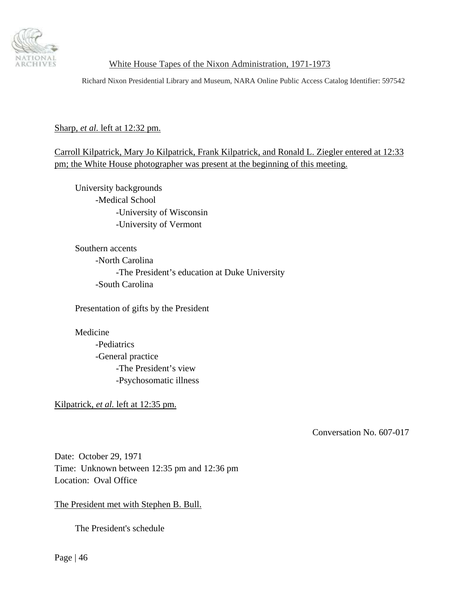<span id="page-45-0"></span>

Richard Nixon Presidential Library and Museum, NARA Online Public Access Catalog Identifier: 597542

Sharp, *et al.* left at 12:32 pm.

Carroll Kilpatrick, Mary Jo Kilpatrick, Frank Kilpatrick, and Ronald L. Ziegler entered at 12:33 pm; the White House photographer was present at the beginning of this meeting.

 University backgrounds -Medical School -University of Wisconsin -University of Vermont

 Southern accents -North Carolina -The President's education at Duke University -South Carolina

Presentation of gifts by the President

Medicine

 -Pediatrics -General practice -The President's view -Psychosomatic illness

Kilpatrick, *et al.* left at 12:35 pm.

Conversation No. 607-017

Date: October 29, 1971 Time: Unknown between 12:35 pm and 12:36 pm Location: Oval Office

The President met with Stephen B. Bull.

The President's schedule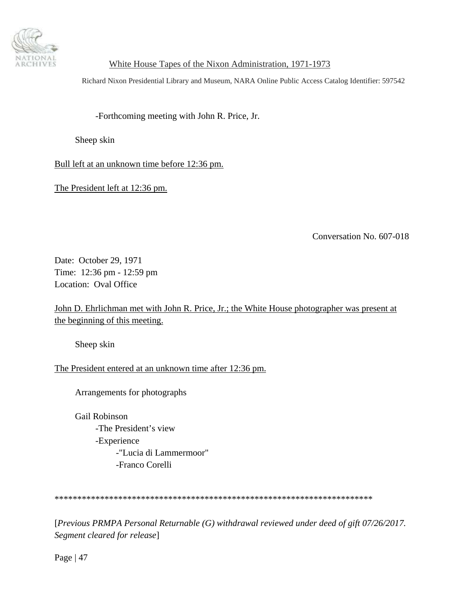<span id="page-46-0"></span>

Richard Nixon Presidential Library and Museum, NARA Online Public Access Catalog Identifier: 597542

-Forthcoming meeting with John R. Price, Jr.

Sheep skin

Bull left at an unknown time before 12:36 pm.

The President left at 12:36 pm.

Conversation No. 607-018

Date: October 29, 1971 Time: 12:36 pm - 12:59 pm Location: Oval Office

John D. Ehrlichman met with John R. Price, Jr.; the White House photographer was present at the beginning of this meeting.

Sheep skin

The President entered at an unknown time after 12:36 pm.

Arrangements for photographs

 Gail Robinson -The President's view -Experience -"Lucia di Lammermoor" -Franco Corelli

\*\*\*\*\*\*\*\*\*\*\*\*\*\*\*\*\*\*\*\*\*\*\*\*\*\*\*\*\*\*\*\*\*\*\*\*\*\*\*\*\*\*\*\*\*\*\*\*\*\*\*\*\*\*\*\*\*\*\*\*\*\*\*\*\*\*\*\*\*\*

[*Previous PRMPA Personal Returnable (G) withdrawal reviewed under deed of gift 07/26/2017. Segment cleared for release*]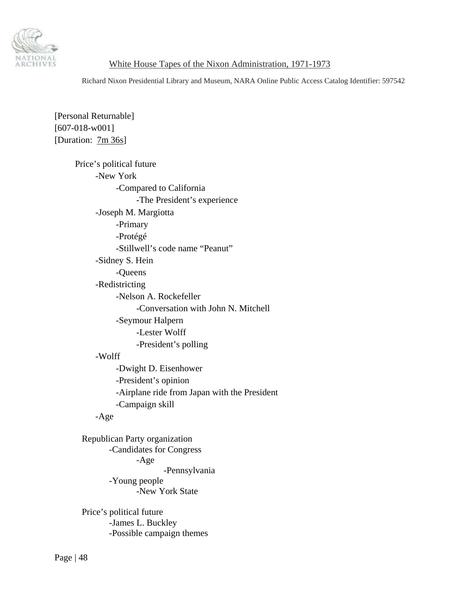

Richard Nixon Presidential Library and Museum, NARA Online Public Access Catalog Identifier: 597542

[Personal Returnable] [607-018-w001] [Duration: 7m 36s]

> Price's political future -New York -Compared to California -The President's experience -Joseph M. Margiotta -Primary -Protégé -Stillwell's code name "Peanut" -Sidney S. Hein -Queens -Redistricting -Nelson A. Rockefeller -Conversation with John N. Mitchell -Seymour Halpern -Lester Wolff -President's polling -Wolff -Dwight D. Eisenhower -President's opinion -Airplane ride from Japan with the President -Campaign skill -Age

 Republican Party organization -Candidates for Congress -Age -Pennsylvania -Young people -New York State

 Price's political future -James L. Buckley -Possible campaign themes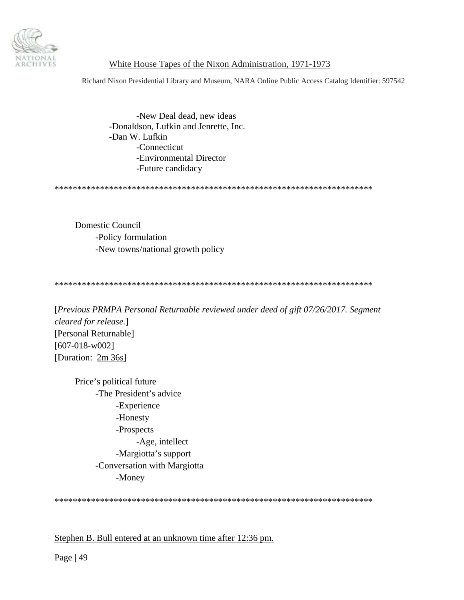

Richard Nixon Presidential Library and Museum, NARA Online Public Access Catalog Identifier: 597542

 -New Deal dead, new ideas -Donaldson, Lufkin and Jenrette, Inc. -Dan W. Lufkin -Connecticut -Environmental Director -Future candidacy

\*\*\*\*\*\*\*\*\*\*\*\*\*\*\*\*\*\*\*\*\*\*\*\*\*\*\*\*\*\*\*\*\*\*\*\*\*\*\*\*\*\*\*\*\*\*\*\*\*\*\*\*\*\*\*\*\*\*\*\*\*\*\*\*\*\*\*\*\*\*

Domestic Council -Policy formulation -New towns/national growth policy

\*\*\*\*\*\*\*\*\*\*\*\*\*\*\*\*\*\*\*\*\*\*\*\*\*\*\*\*\*\*\*\*\*\*\*\*\*\*\*\*\*\*\*\*\*\*\*\*\*\*\*\*\*\*\*\*\*\*\*\*\*\*\*\*\*\*\*\*\*\*

[*Previous PRMPA Personal Returnable reviewed under deed of gift 07/26/2017. Segment cleared for release.*] [Personal Returnable] [607-018-w002] [Duration: 2m 36s]

 Price's political future -The President's advice -Experience -Honesty -Prospects -Age, intellect -Margiotta's support -Conversation with Margiotta -Money

\*\*\*\*\*\*\*\*\*\*\*\*\*\*\*\*\*\*\*\*\*\*\*\*\*\*\*\*\*\*\*\*\*\*\*\*\*\*\*\*\*\*\*\*\*\*\*\*\*\*\*\*\*\*\*\*\*\*\*\*\*\*\*\*\*\*\*\*\*\*

Stephen B. Bull entered at an unknown time after 12:36 pm.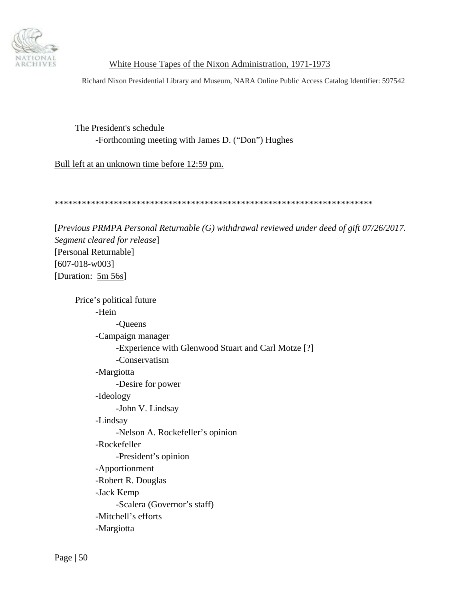

Richard Nixon Presidential Library and Museum, NARA Online Public Access Catalog Identifier: 597542

The President's schedule -Forthcoming meeting with James D. ("Don") Hughes

Bull left at an unknown time before 12:59 pm.

\*\*\*\*\*\*\*\*\*\*\*\*\*\*\*\*\*\*\*\*\*\*\*\*\*\*\*\*\*\*\*\*\*\*\*\*\*\*\*\*\*\*\*\*\*\*\*\*\*\*\*\*\*\*\*\*\*\*\*\*\*\*\*\*\*\*\*\*\*\*

[*Previous PRMPA Personal Returnable (G) withdrawal reviewed under deed of gift 07/26/2017. Segment cleared for release*] [Personal Returnable] [607-018-w003] [Duration: 5m 56s]

 Price's political future -Hein -Queens -Campaign manager -Experience with Glenwood Stuart and Carl Motze [?] -Conservatism -Margiotta -Desire for power -Ideology -John V. Lindsay -Lindsay -Nelson A. Rockefeller's opinion -Rockefeller -President's opinion -Apportionment -Robert R. Douglas -Jack Kemp -Scalera (Governor's staff) -Mitchell's efforts -Margiotta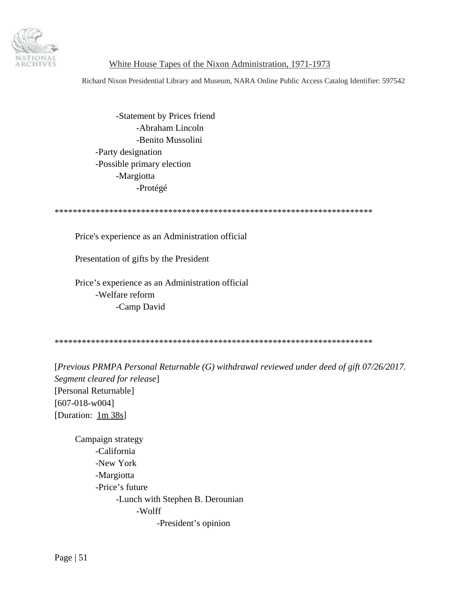

Richard Nixon Presidential Library and Museum, NARA Online Public Access Catalog Identifier: 597542

 -Statement by Prices friend -Abraham Lincoln -Benito Mussolini -Party designation -Possible primary election -Margiotta -Protégé

\*\*\*\*\*\*\*\*\*\*\*\*\*\*\*\*\*\*\*\*\*\*\*\*\*\*\*\*\*\*\*\*\*\*\*\*\*\*\*\*\*\*\*\*\*\*\*\*\*\*\*\*\*\*\*\*\*\*\*\*\*\*\*\*\*\*\*\*\*\*

Price's experience as an Administration official

Presentation of gifts by the President

 Price's experience as an Administration official -Welfare reform -Camp David

\*\*\*\*\*\*\*\*\*\*\*\*\*\*\*\*\*\*\*\*\*\*\*\*\*\*\*\*\*\*\*\*\*\*\*\*\*\*\*\*\*\*\*\*\*\*\*\*\*\*\*\*\*\*\*\*\*\*\*\*\*\*\*\*\*\*\*\*\*\*

[*Previous PRMPA Personal Returnable (G) withdrawal reviewed under deed of gift 07/26/2017. Segment cleared for release*] [Personal Returnable] [607-018-w004] [Duration: 1m 38s]

 Campaign strategy -California -New York -Margiotta -Price's future -Lunch with Stephen B. Derounian -Wolff -President's opinion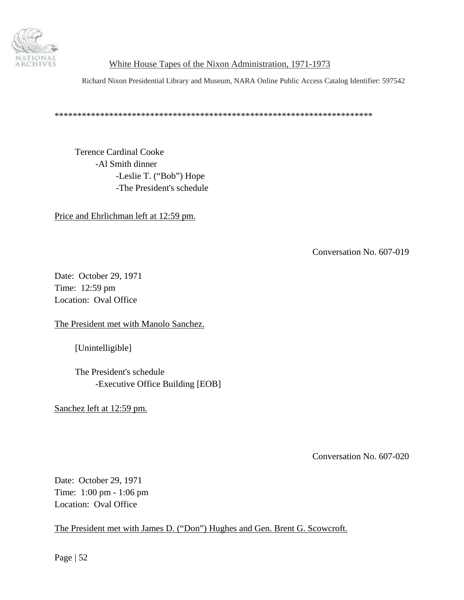<span id="page-51-0"></span>

Richard Nixon Presidential Library and Museum, NARA Online Public Access Catalog Identifier: 597542

\*\*\*\*\*\*\*\*\*\*\*\*\*\*\*\*\*\*\*\*\*\*\*\*\*\*\*\*\*\*\*\*\*\*\*\*\*\*\*\*\*\*\*\*\*\*\*\*\*\*\*\*\*\*\*\*\*\*\*\*\*\*\*\*\*\*\*\*\*\*

Terence Cardinal Cooke -Al Smith dinner -Leslie T. ("Bob") Hope -The President's schedule

Price and Ehrlichman left at 12:59 pm.

Conversation No. 607-019

Date: October 29, 1971 Time: 12:59 pm Location: Oval Office

The President met with Manolo Sanchez.

[Unintelligible]

 The President's schedule -Executive Office Building [EOB]

Sanchez left at 12:59 pm.

Conversation No. 607-020

Date: October 29, 1971 Time: 1:00 pm - 1:06 pm Location: Oval Office

The President met with James D. ("Don") Hughes and Gen. Brent G. Scowcroft.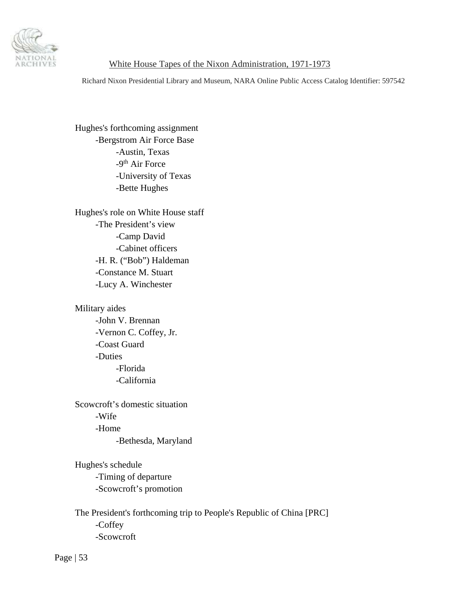

Richard Nixon Presidential Library and Museum, NARA Online Public Access Catalog Identifier: 597542

 Hughes's forthcoming assignment -Bergstrom Air Force Base -Austin, Texas -9<sup>th</sup> Air Force -University of Texas -Bette Hughes

 Hughes's role on White House staff -The President's view -Camp David -Cabinet officers -H. R. ("Bob") Haldeman -Constance M. Stuart -Lucy A. Winchester

 Military aides -John V. Brennan -Vernon C. Coffey, Jr. -Coast Guard

> -Duties -Florida -California

 Scowcroft's domestic situation -Wife -Home -Bethesda, Maryland

 Hughes's schedule -Timing of departure -Scowcroft's promotion

 The President's forthcoming trip to People's Republic of China [PRC] -Coffey -Scowcroft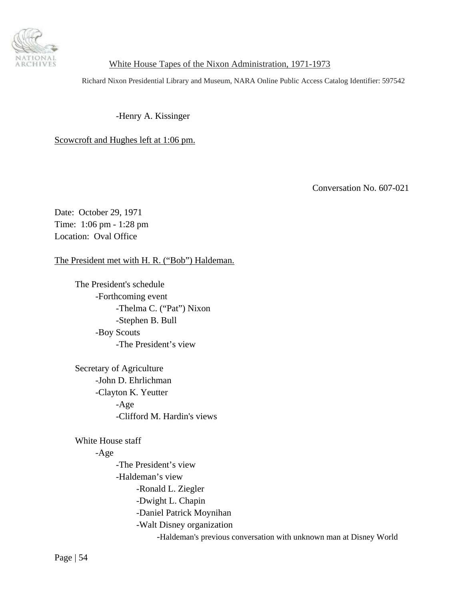<span id="page-53-0"></span>

Richard Nixon Presidential Library and Museum, NARA Online Public Access Catalog Identifier: 597542

-Henry A. Kissinger

Scowcroft and Hughes left at 1:06 pm.

Conversation No. 607-021

Date: October 29, 1971 Time: 1:06 pm - 1:28 pm Location: Oval Office

The President met with H. R. ("Bob") Haldeman.

 The President's schedule -Forthcoming event -Thelma C. ("Pat") Nixon -Stephen B. Bull -Boy Scouts -The President's view

 Secretary of Agriculture -John D. Ehrlichman -Clayton K. Yeutter -Age -Clifford M. Hardin's views

White House staff

### -Age

 -The President's view -Haldeman's view -Ronald L. Ziegler -Dwight L. Chapin -Daniel Patrick Moynihan -Walt Disney organization -Haldeman's previous conversation with unknown man at Disney World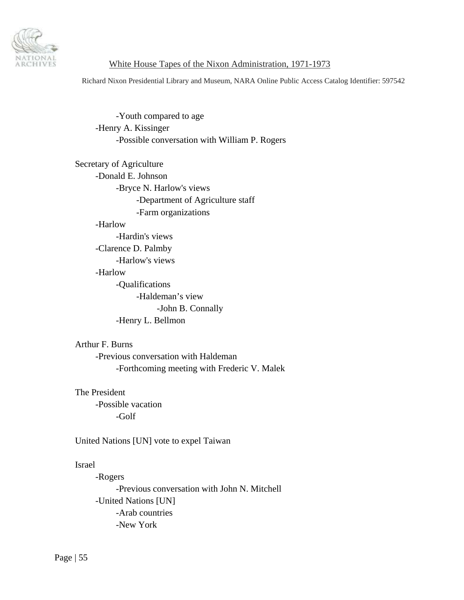

Richard Nixon Presidential Library and Museum, NARA Online Public Access Catalog Identifier: 597542

 -Youth compared to age -Henry A. Kissinger -Possible conversation with William P. Rogers

 Secretary of Agriculture -Donald E. Johnson -Bryce N. Harlow's views -Department of Agriculture staff -Farm organizations -Harlow -Hardin's views -Clarence D. Palmby -Harlow's views -Harlow -Qualifications -Haldeman's view -John B. Connally -Henry L. Bellmon

#### Arthur F. Burns

 -Previous conversation with Haldeman -Forthcoming meeting with Frederic V. Malek

 The President -Possible vacation -Golf

United Nations [UN] vote to expel Taiwan

#### Israel

 -Rogers -Previous conversation with John N. Mitchell -United Nations [UN] -Arab countries -New York